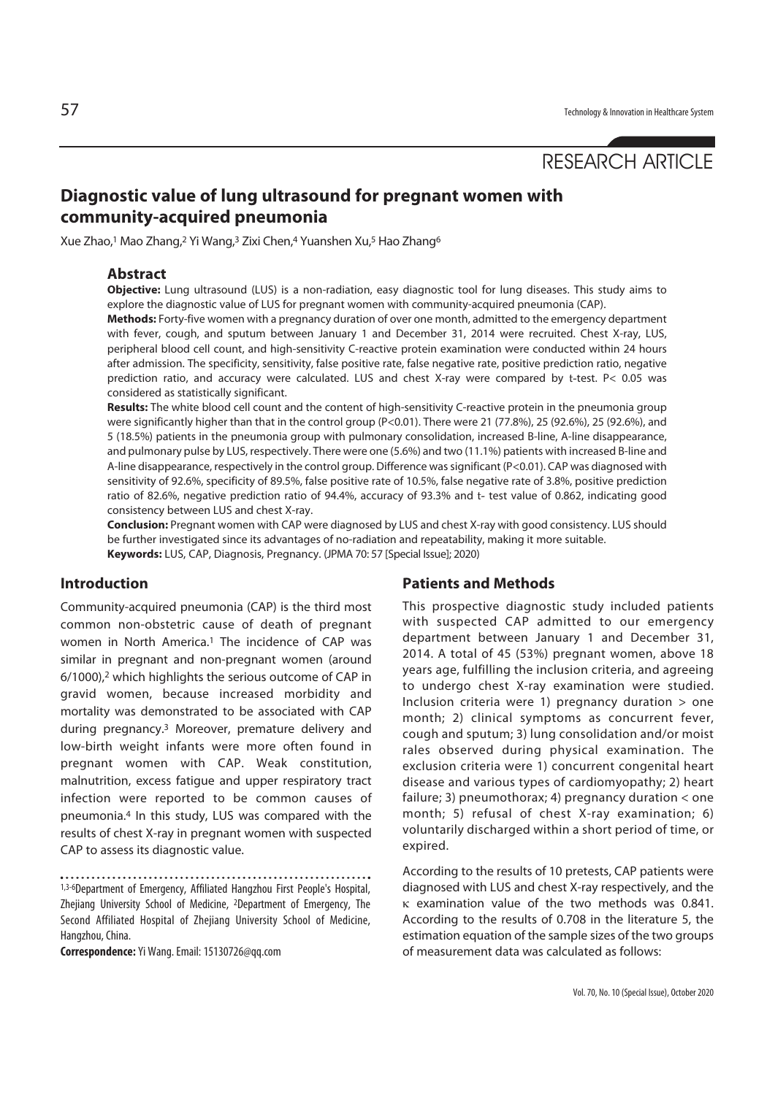# RESEARCH ARTICLE

# **Diagnostic value of lung ultrasound for pregnant women with community-acquired pneumonia**

Xue Zhao,1 Mao Zhang,2 Yi Wang,3 Zixi Chen,4 Yuanshen Xu,5 Hao Zhang6

### **Abstract**

**Objective:** Lung ultrasound (LUS) is a non-radiation, easy diagnostic tool for lung diseases. This study aims to explore the diagnostic value of LUS for pregnant women with community-acquired pneumonia (CAP).

**Methods:** Forty-five women with a pregnancy duration of over one month, admitted to the emergency department with fever, cough, and sputum between January 1 and December 31, 2014 were recruited. Chest X-ray, LUS, peripheral blood cell count, and high-sensitivity C-reactive protein examination were conducted within 24 hours after admission. The specificity, sensitivity, false positive rate, false negative rate, positive prediction ratio, negative prediction ratio, and accuracy were calculated. LUS and chest X-ray were compared by t-test. P< 0.05 was considered as statistically significant.

**Results:** The white blood cell count and the content of high-sensitivity C-reactive protein in the pneumonia group were significantly higher than that in the control group (P<0.01). There were 21 (77.8%), 25 (92.6%), 25 (92.6%), and 5 (18.5%) patients in the pneumonia group with pulmonary consolidation, increased B-line, A-line disappearance, and pulmonary pulse by LUS, respectively. There were one (5.6%) and two (11.1%) patients with increased B-line and A-line disappearance, respectively in the control group. Difference was significant (P<0.01). CAP was diagnosed with sensitivity of 92.6%, specificity of 89.5%, false positive rate of 10.5%, false negative rate of 3.8%, positive prediction ratio of 82.6%, negative prediction ratio of 94.4%, accuracy of 93.3% and t- test value of 0.862, indicating good consistency between LUS and chest X-ray.

**Conclusion:** Pregnant women with CAP were diagnosed by LUS and chest X-ray with good consistency. LUS should be further investigated since its advantages of no-radiation and repeatability, making it more suitable. **Keywords:** LUS, CAP, Diagnosis, Pregnancy. (JPMA 70: 57 [Special Issue]; 2020)

#### **Introduction**

Community-acquired pneumonia (CAP) is the third most common non-obstetric cause of death of pregnant women in North America.<sup>1</sup> The incidence of CAP was similar in pregnant and non-pregnant women (around 6/1000),2 which highlights the serious outcome of CAP in gravid women, because increased morbidity and mortality was demonstrated to be associated with CAP during pregnancy.3 Moreover, premature delivery and low-birth weight infants were more often found in pregnant women with CAP. Weak constitution, malnutrition, excess fatigue and upper respiratory tract infection were reported to be common causes of pneumonia.4 In this study, LUS was compared with the results of chest X-ray in pregnant women with suspected CAP to assess its diagnostic value.

1,3-6Department of Emergency, Affiliated Hangzhou First People's Hospital, Zhejiang University School of Medicine, 2Department of Emergency, The Second Affiliated Hospital of Zhejiang University School of Medicine, Hangzhou, China.

**Correspondence:** Yi Wang. Email: 15130726@qq.com

#### **Patients and Methods**

This prospective diagnostic study included patients with suspected CAP admitted to our emergency department between January 1 and December 31, 2014. A total of 45 (53%) pregnant women, above 18 years age, fulfilling the inclusion criteria, and agreeing to undergo chest X-ray examination were studied. Inclusion criteria were 1) pregnancy duration > one month; 2) clinical symptoms as concurrent fever, cough and sputum; 3) lung consolidation and/or moist rales observed during physical examination. The exclusion criteria were 1) concurrent congenital heart disease and various types of cardiomyopathy; 2) heart failure; 3) pneumothorax; 4) pregnancy duration < one month; 5) refusal of chest X-ray examination; 6) voluntarily discharged within a short period of time, or expired.

According to the results of 10 pretests, CAP patients were diagnosed with LUS and chest X-ray respectively, and the κ examination value of the two methods was 0.841. According to the results of 0.708 in the literature 5, the estimation equation of the sample sizes of the two groups of measurement data was calculated as follows: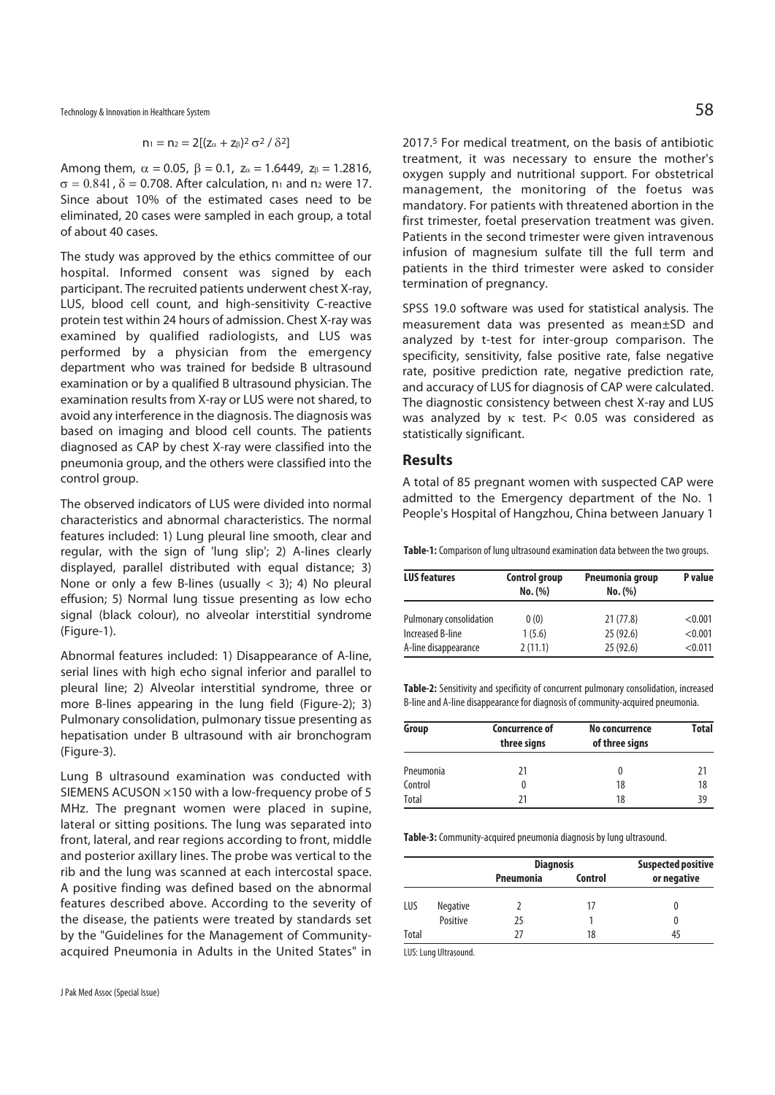Technology & Innovation in Healthcare System  $58$ 

$$
n_1 = n_2 = 2[(z_{\alpha} + z_{\beta})^2 \sigma^2 / \delta^2]
$$

Among them,  $\alpha = 0.05$ ,  $\beta = 0.1$ ,  $z_{\alpha} = 1.6449$ ,  $z_{\beta} = 1.2816$ ,  $\sigma = 0.841$ ,  $\delta = 0.708$ . After calculation, n<sub>1</sub> and n<sub>2</sub> were 17. Since about 10% of the estimated cases need to be eliminated, 20 cases were sampled in each group, a total of about 40 cases.

The study was approved by the ethics committee of our hospital. Informed consent was signed by each participant. The recruited patients underwent chest X-ray, LUS, blood cell count, and high-sensitivity C-reactive protein test within 24 hours of admission. Chest X-ray was examined by qualified radiologists, and LUS was performed by a physician from the emergency department who was trained for bedside B ultrasound examination or by a qualified B ultrasound physician. The examination results from X-ray or LUS were not shared, to avoid any interference in the diagnosis. The diagnosis was based on imaging and blood cell counts. The patients diagnosed as CAP by chest X-ray were classified into the pneumonia group, and the others were classified into the control group.

The observed indicators of LUS were divided into normal characteristics and abnormal characteristics. The normal features included: 1) Lung pleural line smooth, clear and regular, with the sign of 'lung slip'; 2) A-lines clearly displayed, parallel distributed with equal distance; 3) None or only a few B-lines (usually  $<$  3); 4) No pleural effusion; 5) Normal lung tissue presenting as low echo signal (black colour), no alveolar interstitial syndrome (Figure-1).

Abnormal features included: 1) Disappearance of A-line, serial lines with high echo signal inferior and parallel to pleural line; 2) Alveolar interstitial syndrome, three or more B-lines appearing in the lung field (Figure-2); 3) Pulmonary consolidation, pulmonary tissue presenting as hepatisation under B ultrasound with air bronchogram (Figure-3).

Lung B ultrasound examination was conducted with SIEMENS ACUSON ×150 with a low-frequency probe of 5 MHz. The pregnant women were placed in supine, lateral or sitting positions. The lung was separated into front, lateral, and rear regions according to front, middle and posterior axillary lines. The probe was vertical to the rib and the lung was scanned at each intercostal space. A positive finding was defined based on the abnormal features described above. According to the severity of the disease, the patients were treated by standards set by the "Guidelines for the Management of Communityacquired Pneumonia in Adults in the United States" in 2017.5 For medical treatment, on the basis of antibiotic treatment, it was necessary to ensure the mother's oxygen supply and nutritional support. For obstetrical management, the monitoring of the foetus was mandatory. For patients with threatened abortion in the first trimester, foetal preservation treatment was given. Patients in the second trimester were given intravenous infusion of magnesium sulfate till the full term and patients in the third trimester were asked to consider termination of pregnancy.

SPSS 19.0 software was used for statistical analysis. The measurement data was presented as mean±SD and analyzed by t-test for inter-group comparison. The specificity, sensitivity, false positive rate, false negative rate, positive prediction rate, negative prediction rate, and accuracy of LUS for diagnosis of CAP were calculated. The diagnostic consistency between chest X-ray and LUS was analyzed by κ test. P< 0.05 was considered as statistically significant.

#### **Results**

A total of 85 pregnant women with suspected CAP were admitted to the Emergency department of the No. 1 People's Hospital of Hangzhou, China between January 1

**Table-1:** Comparison of lung ultrasound examination data between the two groups.

| <b>LUS features</b>     | <b>Control group</b><br>No. (%) | Pneumonia group<br>No. (%) | P value |  |
|-------------------------|---------------------------------|----------------------------|---------|--|
| Pulmonary consolidation | 0(0)                            | 21(77.8)                   | < 0.001 |  |
| Increased B-line        | 1(5.6)                          | 25(92.6)                   | < 0.001 |  |
| A-line disappearance    | 2(11.1)                         | 25(92.6)                   | < 0.011 |  |

**Table-2:** Sensitivity and specificity of concurrent pulmonary consolidation, increased B-line and A-line disappearance for diagnosis of community-acquired pneumonia.

| Group     | <b>Concurrence of</b><br>three signs | No concurrence<br>of three signs | Total |
|-----------|--------------------------------------|----------------------------------|-------|
| Pneumonia | 21                                   | 0                                | 21    |
| Control   |                                      | 18                               | 18    |
| Total     | 71                                   | 18                               | 39    |

**Table-3:** Community-acquired pneumonia diagnosis by lung ultrasound.

|       |                 | <b>Diagnosis</b> |         | <b>Suspected positive</b> |  |
|-------|-----------------|------------------|---------|---------------------------|--|
|       |                 | <b>Pneumonia</b> | Control | or negative               |  |
| LUS   | <b>Negative</b> |                  | 17      |                           |  |
|       | Positive        | 25               |         |                           |  |
| Total |                 | 77               | 18      | 45                        |  |

LUS: Lung Ultrasound.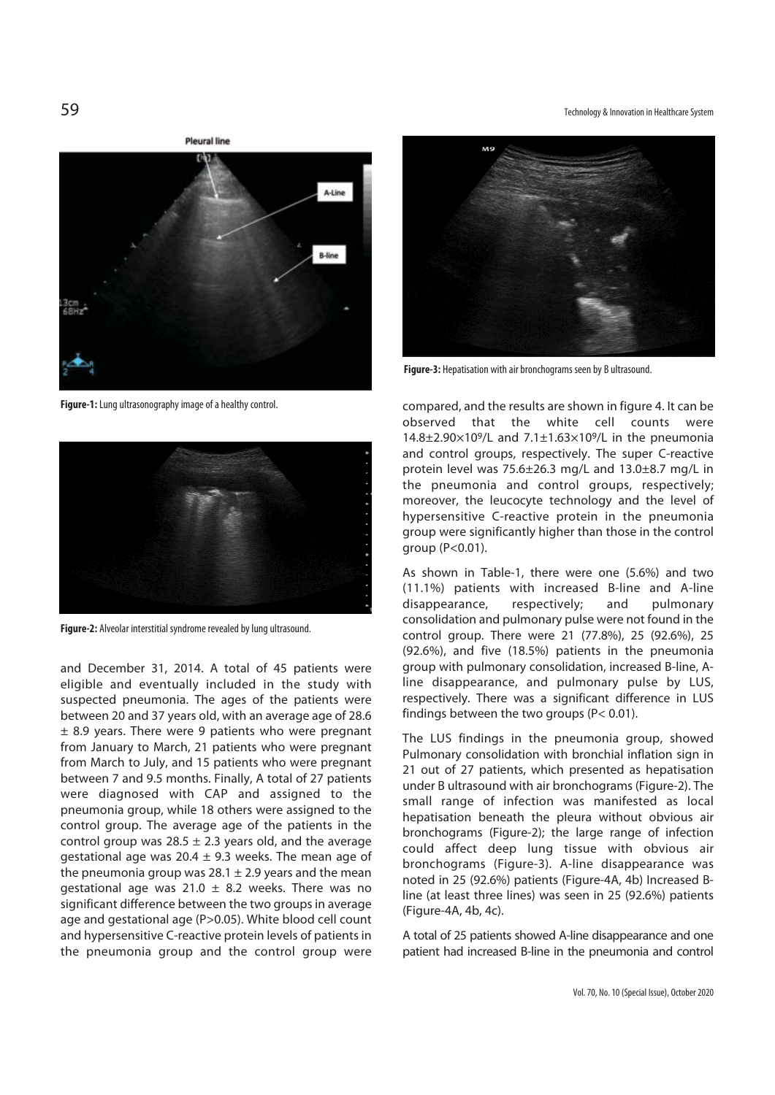**Ployed line** 



**Figure-1:** Lung ultrasonography image of a healthy control.



**Figure-2:** Alveolar interstitial syndrome revealed by lung ultrasound.

and December 31, 2014. A total of 45 patients were eligible and eventually included in the study with suspected pneumonia. The ages of the patients were between 20 and 37 years old, with an average age of 28.6  $\pm$  8.9 years. There were 9 patients who were pregnant from January to March, 21 patients who were pregnant from March to July, and 15 patients who were pregnant between 7 and 9.5 months. Finally, A total of 27 patients were diagnosed with CAP and assigned to the pneumonia group, while 18 others were assigned to the control group. The average age of the patients in the control group was  $28.5 \pm 2.3$  years old, and the average gestational age was 20.4  $\pm$  9.3 weeks. The mean age of the pneumonia group was  $28.1 \pm 2.9$  years and the mean gestational age was 21.0  $\pm$  8.2 weeks. There was no significant difference between the two groups in average age and gestational age (P>0.05). White blood cell count and hypersensitive C-reactive protein levels of patients in the pneumonia group and the control group were

59 Technology & Innovation in Healthcare System



**Figure-3:** Hepatisation with air bronchograms seen by B ultrasound.

compared, and the results are shown in figure 4. It can be observed that the white cell counts were 14.8 $\pm$ 2.90 $\times$ 10<sup>9</sup>/L and 7.1 $\pm$ 1.63 $\times$ 10<sup>9</sup>/L in the pneumonia and control groups, respectively. The super C-reactive protein level was 75.6±26.3 mg/L and 13.0±8.7 mg/L in the pneumonia and control groups, respectively; moreover, the leucocyte technology and the level of hypersensitive C-reactive protein in the pneumonia group were significantly higher than those in the control group (P<0.01).

As shown in Table-1, there were one (5.6%) and two (11.1%) patients with increased B-line and A-line disappearance, respectively; and pulmonary consolidation and pulmonary pulse were not found in the control group. There were 21 (77.8%), 25 (92.6%), 25 (92.6%), and five (18.5%) patients in the pneumonia group with pulmonary consolidation, increased B-line, Aline disappearance, and pulmonary pulse by LUS, respectively. There was a significant difference in LUS findings between the two groups (P< 0.01).

The LUS findings in the pneumonia group, showed Pulmonary consolidation with bronchial inflation sign in 21 out of 27 patients, which presented as hepatisation under B ultrasound with air bronchograms (Figure-2). The small range of infection was manifested as local hepatisation beneath the pleura without obvious air bronchograms (Figure-2); the large range of infection could affect deep lung tissue with obvious air bronchograms (Figure-3). A-line disappearance was noted in 25 (92.6%) patients (Figure-4A, 4b) Increased Bline (at least three lines) was seen in 25 (92.6%) patients (Figure-4A, 4b, 4c).

A total of 25 patients showed A-line disappearance and one patient had increased B-line in the pneumonia and control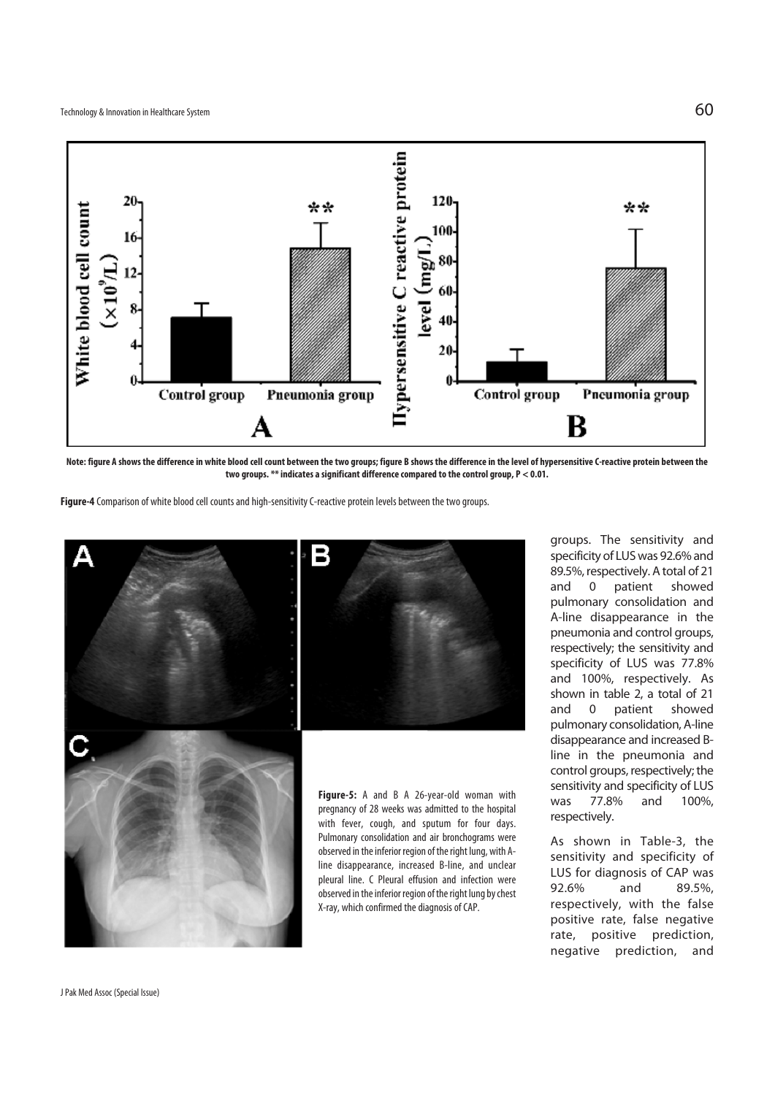

**Note: figure A shows the difference in white blood cell count between the two groups; figure B shows the difference in the level of hypersensitive C-reactive protein between the two groups. \*\* indicates a significant difference compared to the control group, P < 0.01.** 

**Figure-4** Comparison of white blood cell counts and high-sensitivity C-reactive protein levels between the two groups.



groups. The sensitivity and specificity of LUS was 92.6% and 89.5%, respectively. A total of 21 and 0 patient showed pulmonary consolidation and A-line disappearance in the pneumonia and control groups, respectively; the sensitivity and specificity of LUS was 77.8% and 100%, respectively. As shown in table 2, a total of 21 and 0 patient showed pulmonary consolidation, A-line disappearance and increased Bline in the pneumonia and control groups, respectively; the sensitivity and specificity of LUS was 77.8% and 100%, respectively.

As shown in Table-3, the sensitivity and specificity of LUS for diagnosis of CAP was 92.6% and 89.5%, respectively, with the false positive rate, false negative rate, positive prediction, negative prediction, and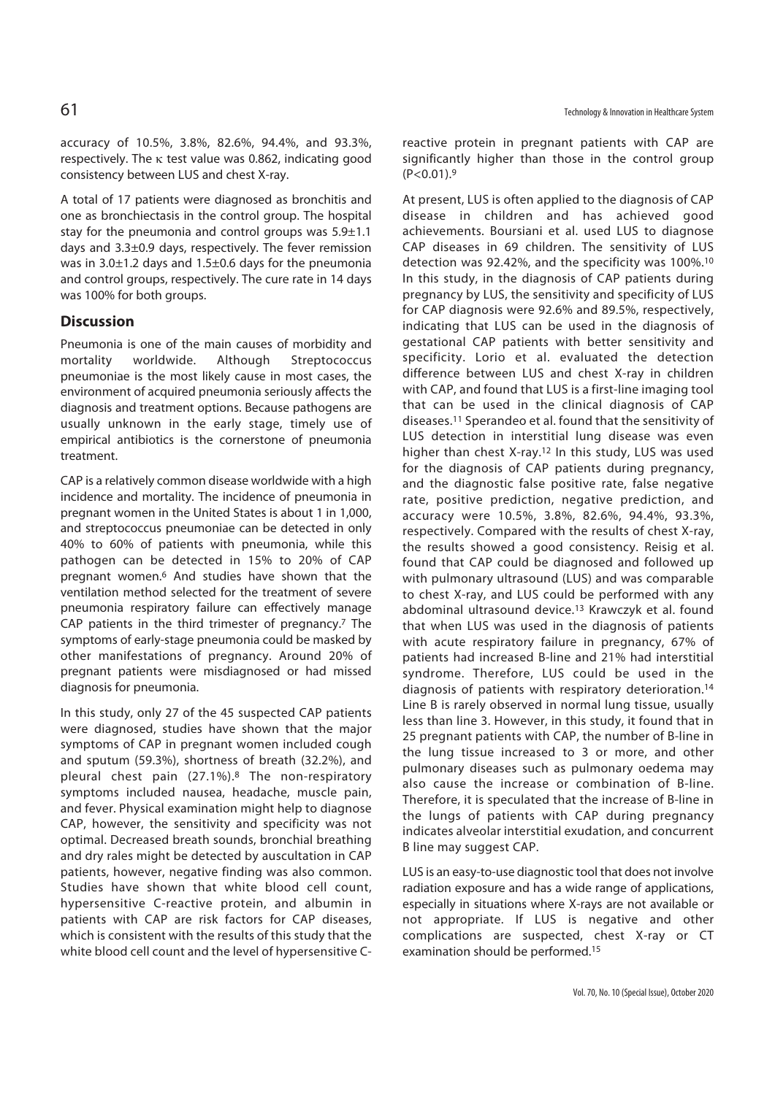accuracy of 10.5%, 3.8%, 82.6%, 94.4%, and 93.3%, respectively. The  $\kappa$  test value was 0.862, indicating good consistency between LUS and chest X-ray.

A total of 17 patients were diagnosed as bronchitis and one as bronchiectasis in the control group. The hospital stay for the pneumonia and control groups was 5.9±1.1 days and 3.3±0.9 days, respectively. The fever remission was in 3.0±1.2 days and 1.5±0.6 days for the pneumonia and control groups, respectively. The cure rate in 14 days was 100% for both groups.

## **Discussion**

Pneumonia is one of the main causes of morbidity and mortality worldwide. Although Streptococcus pneumoniae is the most likely cause in most cases, the environment of acquired pneumonia seriously affects the diagnosis and treatment options. Because pathogens are usually unknown in the early stage, timely use of empirical antibiotics is the cornerstone of pneumonia treatment.

CAP is a relatively common disease worldwide with a high incidence and mortality. The incidence of pneumonia in pregnant women in the United States is about 1 in 1,000, and streptococcus pneumoniae can be detected in only 40% to 60% of patients with pneumonia, while this pathogen can be detected in 15% to 20% of CAP pregnant women.6 And studies have shown that the ventilation method selected for the treatment of severe pneumonia respiratory failure can effectively manage CAP patients in the third trimester of pregnancy.<sup>7</sup> The symptoms of early-stage pneumonia could be masked by other manifestations of pregnancy. Around 20% of pregnant patients were misdiagnosed or had missed diagnosis for pneumonia.

In this study, only 27 of the 45 suspected CAP patients were diagnosed, studies have shown that the major symptoms of CAP in pregnant women included cough and sputum (59.3%), shortness of breath (32.2%), and pleural chest pain (27.1%).8 The non-respiratory symptoms included nausea, headache, muscle pain, and fever. Physical examination might help to diagnose CAP, however, the sensitivity and specificity was not optimal. Decreased breath sounds, bronchial breathing and dry rales might be detected by auscultation in CAP patients, however, negative finding was also common. Studies have shown that white blood cell count, hypersensitive C-reactive protein, and albumin in patients with CAP are risk factors for CAP diseases, which is consistent with the results of this study that the white blood cell count and the level of hypersensitive C-

reactive protein in pregnant patients with CAP are significantly higher than those in the control group  $(P<0.01).9$ 

At present, LUS is often applied to the diagnosis of CAP disease in children and has achieved good achievements. Boursiani et al. used LUS to diagnose CAP diseases in 69 children. The sensitivity of LUS detection was 92.42%, and the specificity was 100%.10 In this study, in the diagnosis of CAP patients during pregnancy by LUS, the sensitivity and specificity of LUS for CAP diagnosis were 92.6% and 89.5%, respectively, indicating that LUS can be used in the diagnosis of gestational CAP patients with better sensitivity and specificity. Lorio et al. evaluated the detection difference between LUS and chest X-ray in children with CAP, and found that LUS is a first-line imaging tool that can be used in the clinical diagnosis of CAP diseases.11 Sperandeo et al. found that the sensitivity of LUS detection in interstitial lung disease was even higher than chest X-ray.12 In this study, LUS was used for the diagnosis of CAP patients during pregnancy, and the diagnostic false positive rate, false negative rate, positive prediction, negative prediction, and accuracy were 10.5%, 3.8%, 82.6%, 94.4%, 93.3%, respectively. Compared with the results of chest X-ray, the results showed a good consistency. Reisig et al. found that CAP could be diagnosed and followed up with pulmonary ultrasound (LUS) and was comparable to chest X-ray, and LUS could be performed with any abdominal ultrasound device.<sup>13</sup> Krawczyk et al. found that when LUS was used in the diagnosis of patients with acute respiratory failure in pregnancy, 67% of patients had increased B-line and 21% had interstitial syndrome. Therefore, LUS could be used in the diagnosis of patients with respiratory deterioration.14 Line B is rarely observed in normal lung tissue, usually less than line 3. However, in this study, it found that in 25 pregnant patients with CAP, the number of B-line in the lung tissue increased to 3 or more, and other pulmonary diseases such as pulmonary oedema may also cause the increase or combination of B-line. Therefore, it is speculated that the increase of B-line in the lungs of patients with CAP during pregnancy indicates alveolar interstitial exudation, and concurrent B line may suggest CAP.

LUS is an easy-to-use diagnostic tool that does not involve radiation exposure and has a wide range of applications, especially in situations where X-rays are not available or not appropriate. If LUS is negative and other complications are suspected, chest X-ray or CT examination should be performed.15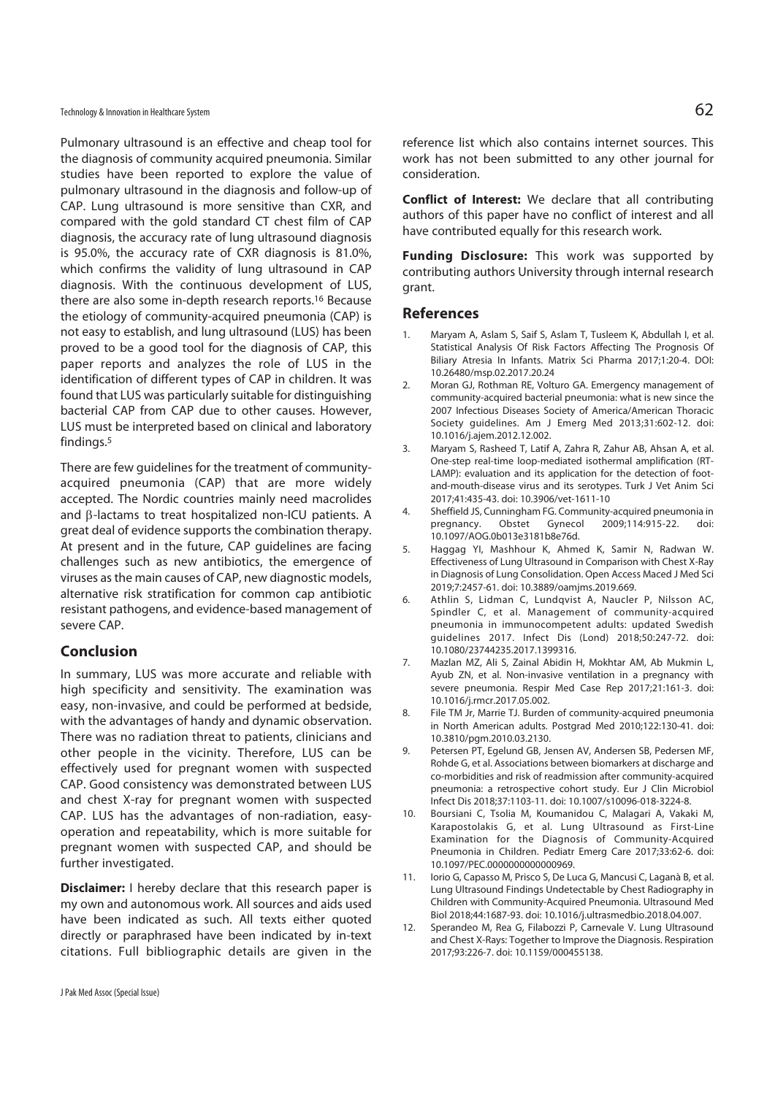Technology & Innovation in Healthcare System  $62$ 

Pulmonary ultrasound is an effective and cheap tool for the diagnosis of community acquired pneumonia. Similar studies have been reported to explore the value of pulmonary ultrasound in the diagnosis and follow-up of CAP. Lung ultrasound is more sensitive than CXR, and compared with the gold standard CT chest film of CAP diagnosis, the accuracy rate of lung ultrasound diagnosis is 95.0%, the accuracy rate of CXR diagnosis is 81.0%, which confirms the validity of lung ultrasound in CAP diagnosis. With the continuous development of LUS, there are also some in-depth research reports.16 Because the etiology of community-acquired pneumonia (CAP) is not easy to establish, and lung ultrasound (LUS) has been proved to be a good tool for the diagnosis of CAP, this paper reports and analyzes the role of LUS in the identification of different types of CAP in children. It was found that LUS was particularly suitable for distinguishing bacterial CAP from CAP due to other causes. However, LUS must be interpreted based on clinical and laboratory findings.5

There are few guidelines for the treatment of communityacquired pneumonia (CAP) that are more widely accepted. The Nordic countries mainly need macrolides and β-lactams to treat hospitalized non-ICU patients. A great deal of evidence supports the combination therapy. At present and in the future, CAP guidelines are facing challenges such as new antibiotics, the emergence of viruses as the main causes of CAP, new diagnostic models, alternative risk stratification for common cap antibiotic resistant pathogens, and evidence-based management of severe CAP.

## **Conclusion**

In summary, LUS was more accurate and reliable with high specificity and sensitivity. The examination was easy, non-invasive, and could be performed at bedside, with the advantages of handy and dynamic observation. There was no radiation threat to patients, clinicians and other people in the vicinity. Therefore, LUS can be effectively used for pregnant women with suspected CAP. Good consistency was demonstrated between LUS and chest X-ray for pregnant women with suspected CAP. LUS has the advantages of non-radiation, easyoperation and repeatability, which is more suitable for pregnant women with suspected CAP, and should be further investigated.

**Disclaimer:** I hereby declare that this research paper is my own and autonomous work. All sources and aids used have been indicated as such. All texts either quoted directly or paraphrased have been indicated by in-text citations. Full bibliographic details are given in the

reference list which also contains internet sources. This work has not been submitted to any other journal for consideration.

**Conflict of Interest:** We declare that all contributing authors of this paper have no conflict of interest and all have contributed equally for this research work.

**Funding Disclosure:** This work was supported by contributing authors University through internal research grant.

#### **References**

- Maryam A, Aslam S, Saif S, Aslam T, Tusleem K, Abdullah I, et al. Statistical Analysis Of Risk Factors Affecting The Prognosis Of Biliary Atresia In Infants. Matrix Sci Pharma 2017;1:20-4. DOI: 10.26480/msp.02.2017.20.24
- 2. Moran GJ, Rothman RE, Volturo GA. Emergency management of community-acquired bacterial pneumonia: what is new since the 2007 Infectious Diseases Society of America/American Thoracic Society guidelines. Am J Emerg Med 2013;31:602-12. doi: 10.1016/j.ajem.2012.12.002.
- 3. Maryam S, Rasheed T, Latif A, Zahra R, Zahur AB, Ahsan A, et al. One-step real-time loop-mediated isothermal amplification (RT-LAMP): evaluation and its application for the detection of footand-mouth-disease virus and its serotypes. Turk J Vet Anim Sci 2017;41:435-43. doi: 10.3906/vet-1611-10
- 4. Sheffield JS, Cunningham FG. Community-acquired pneumonia in pregnancy. Obstet Gynecol 2009;114:915-22. doi: 10.1097/AOG.0b013e3181b8e76d.
- 5. Haggag YI, Mashhour K, Ahmed K, Samir N, Radwan W. Effectiveness of Lung Ultrasound in Comparison with Chest X-Ray in Diagnosis of Lung Consolidation. Open Access Maced J Med Sci 2019;7:2457-61. doi: 10.3889/oamjms.2019.669.
- 6. Athlin S, Lidman C, Lundqvist A, Naucler P, Nilsson AC, Spindler C, et al. Management of community-acquired pneumonia in immunocompetent adults: updated Swedish guidelines 2017. Infect Dis (Lond) 2018;50:247-72. doi: 10.1080/23744235.2017.1399316.
- 7. Mazlan MZ, Ali S, Zainal Abidin H, Mokhtar AM, Ab Mukmin L, Ayub ZN, et al. Non-invasive ventilation in a pregnancy with severe pneumonia. Respir Med Case Rep 2017;21:161-3. doi: 10.1016/j.rmcr.2017.05.002.
- 8. File TM Jr, Marrie TJ. Burden of community-acquired pneumonia in North American adults. Postgrad Med 2010;122:130-41. doi: 10.3810/pgm.2010.03.2130.
- 9. Petersen PT, Egelund GB, Jensen AV, Andersen SB, Pedersen MF, Rohde G, et al. Associations between biomarkers at discharge and co-morbidities and risk of readmission after community-acquired pneumonia: a retrospective cohort study. Eur J Clin Microbiol Infect Dis 2018;37:1103-11. doi: 10.1007/s10096-018-3224-8.
- 10. Boursiani C, Tsolia M, Koumanidou C, Malagari A, Vakaki M, Karapostolakis G, et al. Lung Ultrasound as First-Line Examination for the Diagnosis of Community-Acquired Pneumonia in Children. Pediatr Emerg Care 2017;33:62-6. doi: 10.1097/PEC.0000000000000969.
- 11. Iorio G, Capasso M, Prisco S, De Luca G, Mancusi C, Laganà B, et al. Lung Ultrasound Findings Undetectable by Chest Radiography in Children with Community-Acquired Pneumonia. Ultrasound Med Biol 2018;44:1687-93. doi: 10.1016/j.ultrasmedbio.2018.04.007.
- 12. Sperandeo M, Rea G, Filabozzi P, Carnevale V. Lung Ultrasound and Chest X-Rays: Together to Improve the Diagnosis. Respiration 2017;93:226-7. doi: 10.1159/000455138.